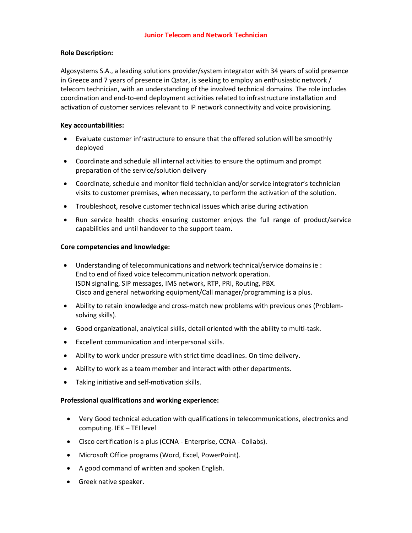## **Role Description:**

Algosystems S.A., a leading solutions provider/system integrator with 34 years of solid presence in Greece and 7 years of presence in Qatar, is seeking to employ an enthusiastic network / telecom technician, with an understanding of the involved technical domains. The role includes coordination and end-to-end deployment activities related to infrastructure installation and activation of customer services relevant to IP network connectivity and voice provisioning.

## **Key accountabilities:**

- Evaluate customer infrastructure to ensure that the offered solution will be smoothly deployed
- Coordinate and schedule all internal activities to ensure the optimum and prompt preparation of the service/solution delivery
- Coordinate, schedule and monitor field technician and/or service integrator's technician visits to customer premises, when necessary, to perform the activation of the solution.
- Troubleshoot, resolve customer technical issues which arise during activation
- Run service health checks ensuring customer enjoys the full range of product/service capabilities and until handover to the support team.

## **Core competencies and knowledge:**

- Understanding of telecommunications and network technical/service domains ie : End to end of fixed voice telecommunication network operation. ISDN signaling, SIP messages, IMS network, RTP, PRI, Routing, PBX. Cisco and general networking equipment/Call manager/programming is a plus.
- Ability to retain knowledge and cross-match new problems with previous ones (Problemsolving skills).
- Good organizational, analytical skills, detail oriented with the ability to multi-task.
- Excellent communication and interpersonal skills.
- Ability to work under pressure with strict time deadlines. On time delivery.
- Ability to work as a team member and interact with other departments.
- Taking initiative and self-motivation skills.

## **Professional qualifications and working experience:**

- Very Good technical education with qualifications in telecommunications, electronics and computing. IEK – TEI level
- Cisco certification is a plus (CCNA Enterprise, CCNA Collabs).
- Microsoft Office programs (Word, Excel, PowerPoint).
- A good command of written and spoken English.
- Greek native speaker.